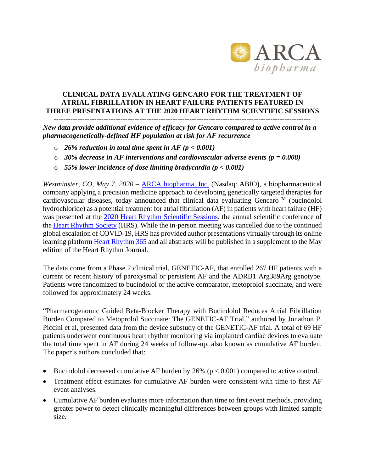

## **CLINICAL DATA EVALUATING GENCARO FOR THE TREATMENT OF ATRIAL FIBRILLATION IN HEART FAILURE PATIENTS FEATURED IN THREE PRESENTATIONS AT THE 2020 HEART RHYTHM SCIENTIFIC SESSIONS**

**------------------------------------------------------------------------------------------------------------**

*New data provide additional evidence of efficacy for Gencaro compared to active control in a pharmacogenetically-defined HF population at risk for AF recurrence*

- o *26% reduction in total time spent in AF (p < 0.001)*
- o *30% decrease in AF interventions and cardiovascular adverse events (p = 0.008)*
- o *55% lower incidence of dose limiting bradycardia (p < 0.001)*

*Westminster, CO, May 7, 2020* – [ARCA biopharma, Inc.](http://www.arcabio.com/) (Nasdaq: ABIO), a biopharmaceutical company applying a precision medicine approach to developing genetically targeted therapies for cardiovascular diseases, today announced that clinical data evaluating  $GencarO<sup>TM</sup>$  (bucindolol hydrochloride) as a potential treatment for atrial fibrillation (AF) in patients with heart failure (HF) was presented at the [2020 Heart Rhythm Scientific Sessions,](https://www.hrssessions.org/) the annual scientific conference of the [Heart Rhythm Society](https://www.hrsonline.org/) (HRS). While the in-person meeting was cancelled due to the continued global escalation of COVID-19, HRS has provided author presentations virtually through its online learning platfor[m Heart Rhythm 365](https://www.heartrhythm365.org/Public/Catalog/Home.aspx) and all abstracts will be published in a supplement to the May edition of the Heart Rhythm Journal.

The data come from a Phase 2 clinical trial, GENETIC-AF, that enrolled 267 HF patients with a current or recent history of paroxysmal or persistent AF and the ADRB1 Arg389Arg genotype. Patients were randomized to bucindolol or the active comparator, metoprolol succinate, and were followed for approximately 24 weeks.

"Pharmacogenomic Guided Beta-Blocker Therapy with Bucindolol Reduces Atrial Fibrillation Burden Compared to Metoprolol Succinate: The GENETIC-AF Trial," authored by Jonathon P. Piccini et al, presented data from the device substudy of the GENETIC-AF trial. A total of 69 HF patients underwent continuous heart rhythm monitoring via implanted cardiac devices to evaluate the total time spent in AF during 24 weeks of follow-up, also known as cumulative AF burden. The paper's authors concluded that:

- Bucindolol decreased cumulative AF burden by 26% ( $p < 0.001$ ) compared to active control.
- Treatment effect estimates for cumulative AF burden were consistent with time to first AF event analyses.
- Cumulative AF burden evaluates more information than time to first event methods, providing greater power to detect clinically meaningful differences between groups with limited sample size.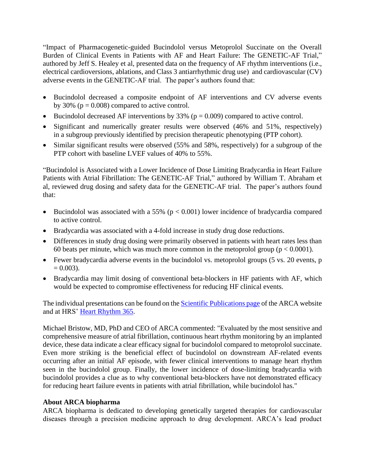"Impact of Pharmacogenetic-guided Bucindolol versus Metoprolol Succinate on the Overall Burden of Clinical Events in Patients with AF and Heart Failure: The GENETIC-AF Trial," authored by Jeff S. Healey et al, presented data on the frequency of AF rhythm interventions (i.e., electrical cardioversions, ablations, and Class 3 antiarrhythmic drug use) and cardiovascular (CV) adverse events in the GENETIC-AF trial. The paper's authors found that:

- Bucindolol decreased a composite endpoint of AF interventions and CV adverse events by 30% ( $p = 0.008$ ) compared to active control.
- Bucindolol decreased AF interventions by 33% ( $p = 0.009$ ) compared to active control.
- Significant and numerically greater results were observed (46% and 51%, respectively) in a subgroup previously identified by precision therapeutic phenotyping (PTP cohort).
- Similar significant results were observed (55% and 58%, respectively) for a subgroup of the PTP cohort with baseline LVEF values of 40% to 55%.

"Bucindolol is Associated with a Lower Incidence of Dose Limiting Bradycardia in Heart Failure Patients with Atrial Fibrillation: The GENETIC-AF Trial," authored by William T. Abraham et al, reviewed drug dosing and safety data for the GENETIC-AF trial. The paper's authors found that:

- Bucindolol was associated with a 55% ( $p < 0.001$ ) lower incidence of bradycardia compared to active control.
- Bradycardia was associated with a 4-fold increase in study drug dose reductions.
- Differences in study drug dosing were primarily observed in patients with heart rates less than 60 beats per minute, which was much more common in the metoprolol group ( $p < 0.0001$ ).
- Fewer bradycardia adverse events in the bucindolol vs. metoprolol groups (5 vs. 20 events, p  $= 0.003$ ).
- Bradycardia may limit dosing of conventional beta-blockers in HF patients with AF, which would be expected to compromise effectiveness for reducing HF clinical events.

The individual presentations can be found on the **Scientific Publications page** of the ARCA website and at HRS' [Heart Rhythm 365.](https://www.heartrhythm365.org/Public/Catalog/Home.aspx)

Michael Bristow, MD, PhD and CEO of ARCA commented: "Evaluated by the most sensitive and comprehensive measure of atrial fibrillation, continuous heart rhythm monitoring by an implanted device, these data indicate a clear efficacy signal for bucindolol compared to metoprolol succinate. Even more striking is the beneficial effect of bucindolol on downstream AF-related events occurring after an initial AF episode, with fewer clinical interventions to manage heart rhythm seen in the bucindolol group. Finally, the lower incidence of dose-limiting bradycardia with bucindolol provides a clue as to why conventional beta-blockers have not demonstrated efficacy for reducing heart failure events in patients with atrial fibrillation, while bucindolol has."

## **About ARCA biopharma**

ARCA biopharma is dedicated to developing genetically targeted therapies for cardiovascular diseases through a precision medicine approach to drug development. ARCA's lead product